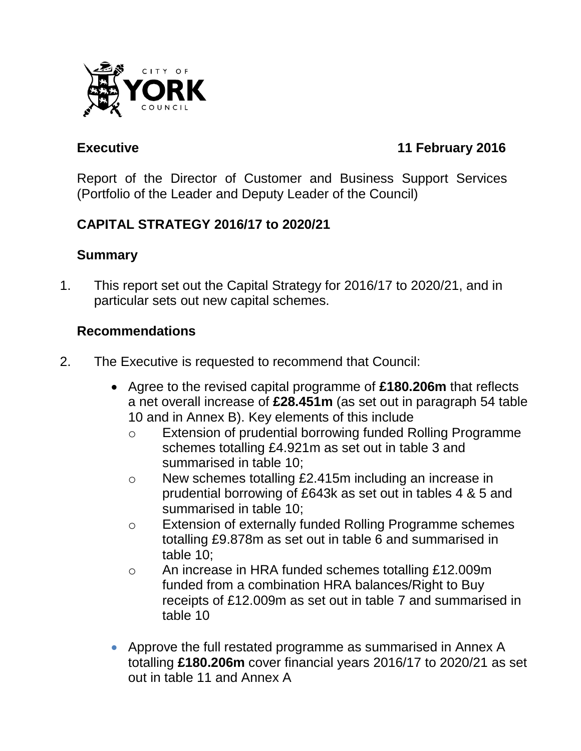

# **Executive 11 February 2016**

Report of the Director of Customer and Business Support Services (Portfolio of the Leader and Deputy Leader of the Council)

# **CAPITAL STRATEGY 2016/17 to 2020/21**

### **Summary**

1. This report set out the Capital Strategy for 2016/17 to 2020/21, and in particular sets out new capital schemes.

### **Recommendations**

- 2. The Executive is requested to recommend that Council:
	- Agree to the revised capital programme of **£180.206m** that reflects a net overall increase of **£28.451m** (as set out in paragraph 54 table 10 and in Annex B). Key elements of this include
		- o Extension of prudential borrowing funded Rolling Programme schemes totalling £4.921m as set out in table 3 and summarised in table 10;
		- o New schemes totalling £2.415m including an increase in prudential borrowing of £643k as set out in tables 4 & 5 and summarised in table 10;
		- o Extension of externally funded Rolling Programme schemes totalling £9.878m as set out in table 6 and summarised in table 10;
		- o An increase in HRA funded schemes totalling £12.009m funded from a combination HRA balances/Right to Buy receipts of £12.009m as set out in table 7 and summarised in table 10
	- Approve the full restated programme as summarised in Annex A totalling **£180.206m** cover financial years 2016/17 to 2020/21 as set out in table 11 and Annex A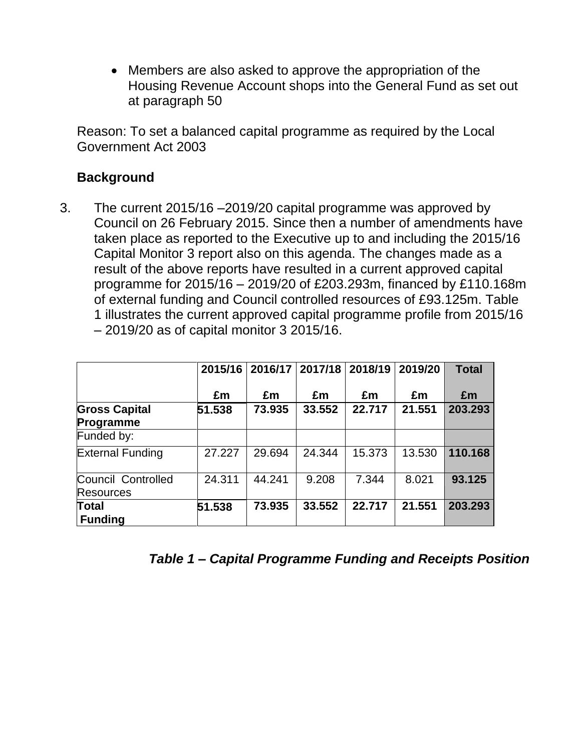Members are also asked to approve the appropriation of the Housing Revenue Account shops into the General Fund as set out at paragraph 50

Reason: To set a balanced capital programme as required by the Local Government Act 2003

#### **Background**

3. The current 2015/16 –2019/20 capital programme was approved by Council on 26 February 2015. Since then a number of amendments have taken place as reported to the Executive up to and including the 2015/16 Capital Monitor 3 report also on this agenda. The changes made as a result of the above reports have resulted in a current approved capital programme for 2015/16 – 2019/20 of £203.293m, financed by £110.168m of external funding and Council controlled resources of £93.125m. Table 1 illustrates the current approved capital programme profile from 2015/16 – 2019/20 as of capital monitor 3 2015/16.

|                                        | 2015/16 |        | 2016/17   2017/18 | 2018/19 | 2019/20 | <b>Total</b> |
|----------------------------------------|---------|--------|-------------------|---------|---------|--------------|
|                                        | £m      | £m     | £m                | £m      | £m      | £m           |
| <b>Gross Capital</b><br>Programme      | 51.538  | 73.935 | 33.552            | 22.717  | 21.551  | 203.293      |
| Funded by:                             |         |        |                   |         |         |              |
| <b>External Funding</b>                | 27.227  | 29.694 | 24.344            | 15.373  | 13.530  | 110.168      |
| Council Controlled<br><b>Resources</b> | 24.311  | 44.241 | 9.208             | 7.344   | 8.021   | 93.125       |
| <b>Total</b><br><b>Funding</b>         | 51.538  | 73.935 | 33.552            | 22.717  | 21.551  | 203.293      |

*Table 1 – Capital Programme Funding and Receipts Position*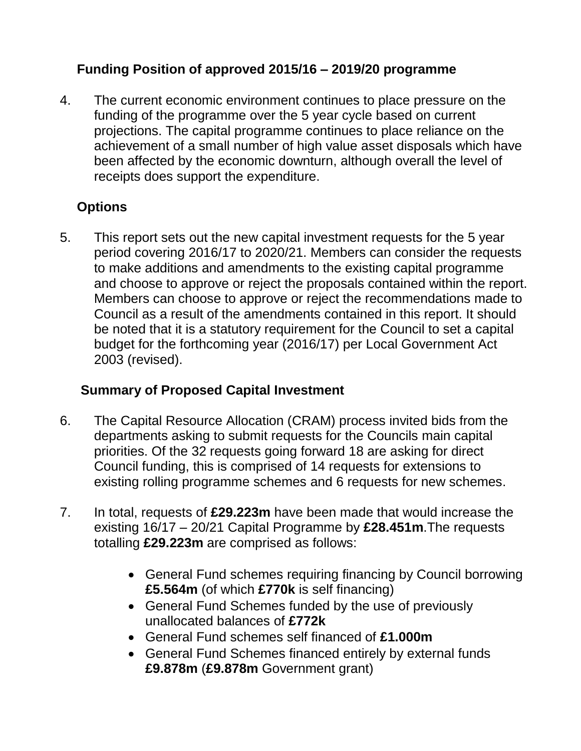# **Funding Position of approved 2015/16 – 2019/20 programme**

4. The current economic environment continues to place pressure on the funding of the programme over the 5 year cycle based on current projections. The capital programme continues to place reliance on the achievement of a small number of high value asset disposals which have been affected by the economic downturn, although overall the level of receipts does support the expenditure.

## **Options**

5. This report sets out the new capital investment requests for the 5 year period covering 2016/17 to 2020/21. Members can consider the requests to make additions and amendments to the existing capital programme and choose to approve or reject the proposals contained within the report. Members can choose to approve or reject the recommendations made to Council as a result of the amendments contained in this report. It should be noted that it is a statutory requirement for the Council to set a capital budget for the forthcoming year (2016/17) per Local Government Act 2003 (revised).

## **Summary of Proposed Capital Investment**

- 6. The Capital Resource Allocation (CRAM) process invited bids from the departments asking to submit requests for the Councils main capital priorities. Of the 32 requests going forward 18 are asking for direct Council funding, this is comprised of 14 requests for extensions to existing rolling programme schemes and 6 requests for new schemes.
- 7. In total, requests of **£29.223m** have been made that would increase the existing 16/17 – 20/21 Capital Programme by **£28.451m**.The requests totalling **£29.223m** are comprised as follows:
	- General Fund schemes requiring financing by Council borrowing **£5.564m** (of which **£770k** is self financing)
	- General Fund Schemes funded by the use of previously unallocated balances of **£772k**
	- General Fund schemes self financed of **£1.000m**
	- General Fund Schemes financed entirely by external funds **£9.878m** (**£9.878m** Government grant)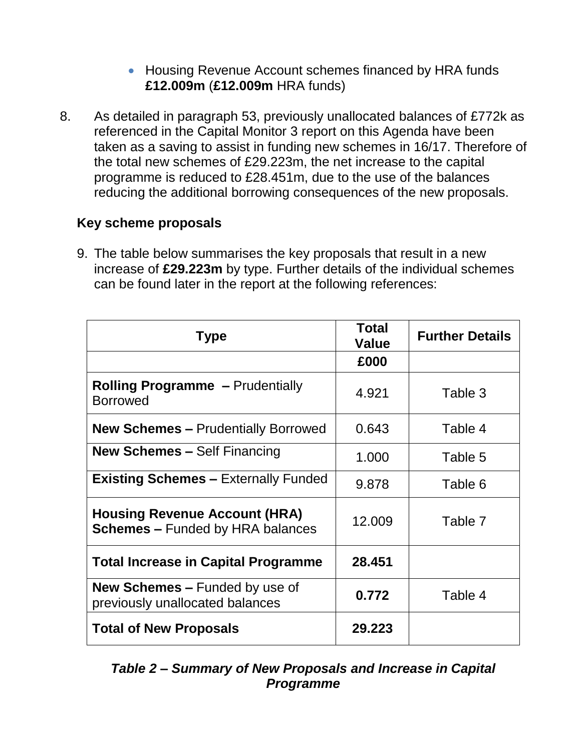### • Housing Revenue Account schemes financed by HRA funds **£12.009m** (**£12.009m** HRA funds)

8. As detailed in paragraph 53, previously unallocated balances of £772k as referenced in the Capital Monitor 3 report on this Agenda have been taken as a saving to assist in funding new schemes in 16/17. Therefore of the total new schemes of £29.223m, the net increase to the capital programme is reduced to £28.451m, due to the use of the balances reducing the additional borrowing consequences of the new proposals.

## **Key scheme proposals**

9. The table below summarises the key proposals that result in a new increase of **£29.223m** by type. Further details of the individual schemes can be found later in the report at the following references:

| <b>Type</b>                                                                     | Total<br><b>Value</b> | <b>Further Details</b> |
|---------------------------------------------------------------------------------|-----------------------|------------------------|
|                                                                                 | £000                  |                        |
| <b>Rolling Programme - Prudentially</b><br><b>Borrowed</b>                      | 4.921                 | Table 3                |
| <b>New Schemes - Prudentially Borrowed</b>                                      | 0.643                 | Table 4                |
| <b>New Schemes – Self Financing</b>                                             | 1.000                 | Table 5                |
| <b>Existing Schemes – Externally Funded</b>                                     | 9.878                 | Table 6                |
| <b>Housing Revenue Account (HRA)</b><br><b>Schemes - Funded by HRA balances</b> | 12.009                | Table 7                |
| <b>Total Increase in Capital Programme</b>                                      | 28.451                |                        |
| <b>New Schemes – Funded by use of</b><br>previously unallocated balances        | 0.772                 | Table 4                |
| <b>Total of New Proposals</b>                                                   | 29.223                |                        |

*Table 2 – Summary of New Proposals and Increase in Capital Programme*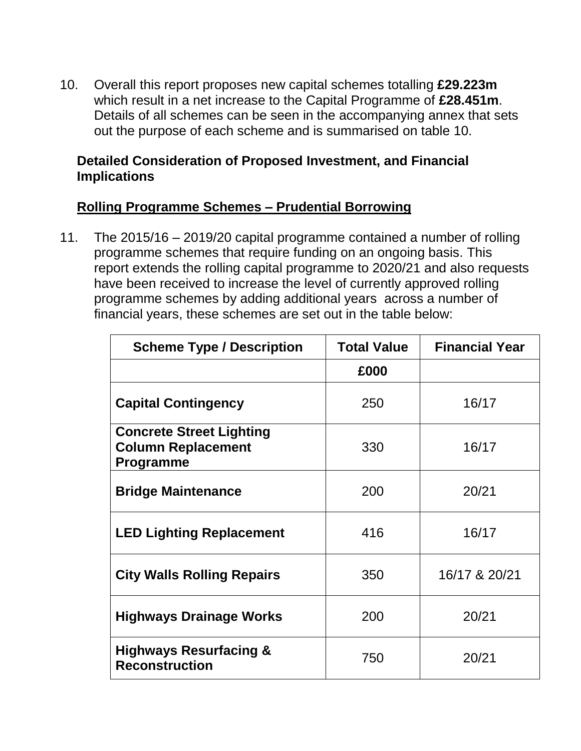10. Overall this report proposes new capital schemes totalling **£29.223m** which result in a net increase to the Capital Programme of **£28.451m**. Details of all schemes can be seen in the accompanying annex that sets out the purpose of each scheme and is summarised on table 10.

#### **Detailed Consideration of Proposed Investment, and Financial Implications**

### **Rolling Programme Schemes – Prudential Borrowing**

11. The 2015/16 – 2019/20 capital programme contained a number of rolling programme schemes that require funding on an ongoing basis. This report extends the rolling capital programme to 2020/21 and also requests have been received to increase the level of currently approved rolling programme schemes by adding additional years across a number of financial years, these schemes are set out in the table below:

| <b>Scheme Type / Description</b>                                                 | <b>Total Value</b> | <b>Financial Year</b> |
|----------------------------------------------------------------------------------|--------------------|-----------------------|
|                                                                                  | £000               |                       |
| <b>Capital Contingency</b>                                                       | 250                | 16/17                 |
| <b>Concrete Street Lighting</b><br><b>Column Replacement</b><br><b>Programme</b> | 330                | 16/17                 |
| <b>Bridge Maintenance</b>                                                        | 200                | 20/21                 |
| <b>LED Lighting Replacement</b>                                                  | 416                | 16/17                 |
| <b>City Walls Rolling Repairs</b>                                                | 350                | 16/17 & 20/21         |
| Highways Drainage Works                                                          | 200                | 20/21                 |
| <b>Highways Resurfacing &amp;</b><br><b>Reconstruction</b>                       | 750                | 20/21                 |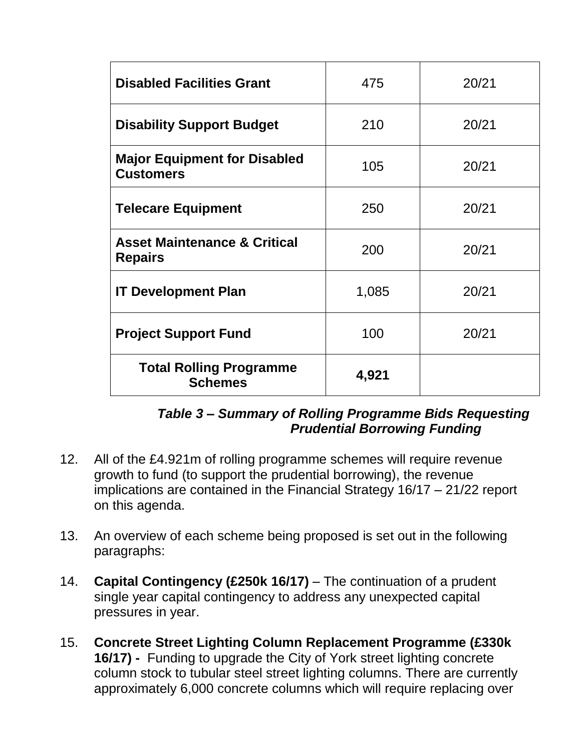| <b>Disabled Facilities Grant</b>                          | 475   | 20/21 |
|-----------------------------------------------------------|-------|-------|
| <b>Disability Support Budget</b>                          | 210   | 20/21 |
| <b>Major Equipment for Disabled</b><br><b>Customers</b>   | 105   | 20/21 |
| <b>Telecare Equipment</b>                                 | 250   | 20/21 |
| <b>Asset Maintenance &amp; Critical</b><br><b>Repairs</b> | 200   | 20/21 |
| <b>IT Development Plan</b>                                | 1,085 | 20/21 |
| <b>Project Support Fund</b>                               | 100   | 20/21 |
| <b>Total Rolling Programme</b><br><b>Schemes</b>          | 4,921 |       |

### *Table 3 – Summary of Rolling Programme Bids Requesting Prudential Borrowing Funding*

- 12. All of the £4.921m of rolling programme schemes will require revenue growth to fund (to support the prudential borrowing), the revenue implications are contained in the Financial Strategy 16/17 – 21/22 report on this agenda.
- 13. An overview of each scheme being proposed is set out in the following paragraphs:
- 14. **Capital Contingency (£250k 16/17)** The continuation of a prudent single year capital contingency to address any unexpected capital pressures in year.
- 15. **Concrete Street Lighting Column Replacement Programme (£330k 16/17) -** Funding to upgrade the City of York street lighting concrete column stock to tubular steel street lighting columns. There are currently approximately 6,000 concrete columns which will require replacing over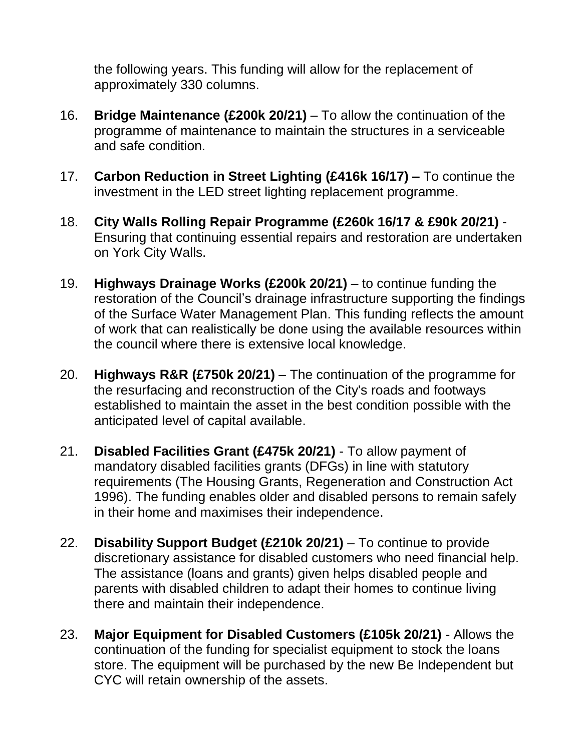the following years. This funding will allow for the replacement of approximately 330 columns.

- 16. **Bridge Maintenance (£200k 20/21)** To allow the continuation of the programme of maintenance to maintain the structures in a serviceable and safe condition.
- 17. **Carbon Reduction in Street Lighting (£416k 16/17) –** To continue the investment in the LED street lighting replacement programme.
- 18. **City Walls Rolling Repair Programme (£260k 16/17 & £90k 20/21)** Ensuring that continuing essential repairs and restoration are undertaken on York City Walls.
- 19. **Highways Drainage Works (£200k 20/21)**  to continue funding the restoration of the Council's drainage infrastructure supporting the findings of the Surface Water Management Plan. This funding reflects the amount of work that can realistically be done using the available resources within the council where there is extensive local knowledge.
- 20. **Highways R&R (£750k 20/21)**  The continuation of the programme for the resurfacing and reconstruction of the City's roads and footways established to maintain the asset in the best condition possible with the anticipated level of capital available.
- 21. **Disabled Facilities Grant (£475k 20/21)** To allow payment of mandatory disabled facilities grants (DFGs) in line with statutory requirements (The Housing Grants, Regeneration and Construction Act 1996). The funding enables older and disabled persons to remain safely in their home and maximises their independence.
- 22. **Disability Support Budget (£210k 20/21)** To continue to provide discretionary assistance for disabled customers who need financial help. The assistance (loans and grants) given helps disabled people and parents with disabled children to adapt their homes to continue living there and maintain their independence.
- 23. **Major Equipment for Disabled Customers (£105k 20/21)** Allows the continuation of the funding for specialist equipment to stock the loans store. The equipment will be purchased by the new Be Independent but CYC will retain ownership of the assets.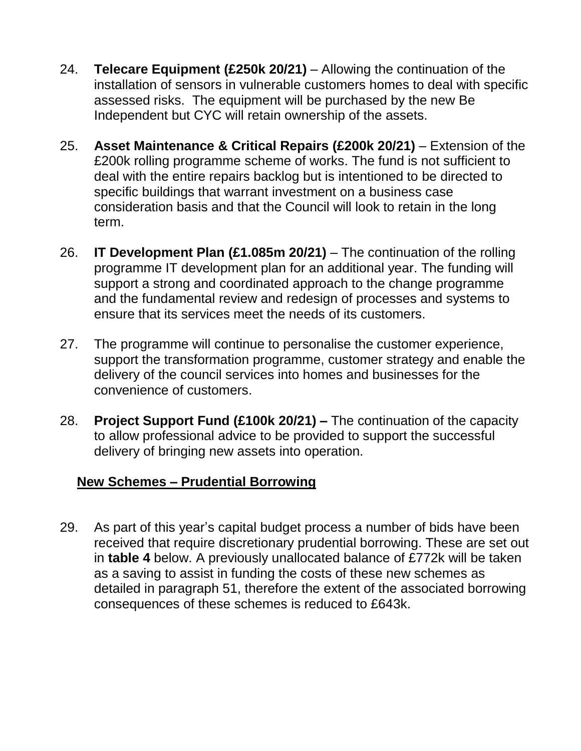- 24. **Telecare Equipment (£250k 20/21)** Allowing the continuation of the installation of sensors in vulnerable customers homes to deal with specific assessed risks. The equipment will be purchased by the new Be Independent but CYC will retain ownership of the assets.
- 25. **Asset Maintenance & Critical Repairs (£200k 20/21)**  Extension of the £200k rolling programme scheme of works. The fund is not sufficient to deal with the entire repairs backlog but is intentioned to be directed to specific buildings that warrant investment on a business case consideration basis and that the Council will look to retain in the long term.
- 26. **IT Development Plan (£1.085m 20/21)** The continuation of the rolling programme IT development plan for an additional year. The funding will support a strong and coordinated approach to the change programme and the fundamental review and redesign of processes and systems to ensure that its services meet the needs of its customers.
- 27. The programme will continue to personalise the customer experience, support the transformation programme, customer strategy and enable the delivery of the council services into homes and businesses for the convenience of customers.
- 28. **Project Support Fund (£100k 20/21) –** The continuation of the capacity to allow professional advice to be provided to support the successful delivery of bringing new assets into operation.

## **New Schemes – Prudential Borrowing**

29. As part of this year's capital budget process a number of bids have been received that require discretionary prudential borrowing. These are set out in **table 4** below. A previously unallocated balance of £772k will be taken as a saving to assist in funding the costs of these new schemes as detailed in paragraph 51, therefore the extent of the associated borrowing consequences of these schemes is reduced to £643k.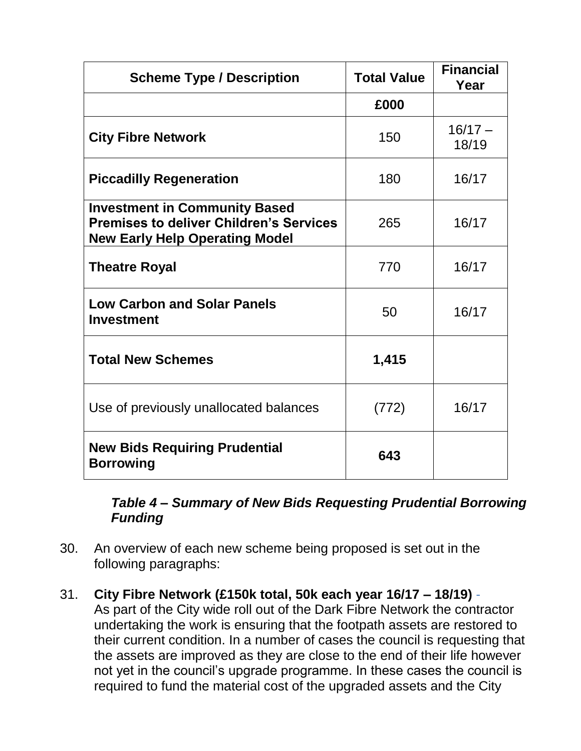| <b>Scheme Type / Description</b>                                                                                                | <b>Total Value</b> | <b>Financial</b><br>Year |
|---------------------------------------------------------------------------------------------------------------------------------|--------------------|--------------------------|
|                                                                                                                                 | £000               |                          |
| <b>City Fibre Network</b>                                                                                                       | 150                | $16/17 -$<br>18/19       |
| <b>Piccadilly Regeneration</b>                                                                                                  | 180                | 16/17                    |
| <b>Investment in Community Based</b><br><b>Premises to deliver Children's Services</b><br><b>New Early Help Operating Model</b> | 265                | 16/17                    |
| <b>Theatre Royal</b>                                                                                                            | 770                | 16/17                    |
| <b>Low Carbon and Solar Panels</b><br><b>Investment</b>                                                                         | 50                 | 16/17                    |
| <b>Total New Schemes</b>                                                                                                        | 1,415              |                          |
| Use of previously unallocated balances                                                                                          | (772)              | 16/17                    |
| <b>New Bids Requiring Prudential</b><br><b>Borrowing</b>                                                                        | 643                |                          |

*Table 4 – Summary of New Bids Requesting Prudential Borrowing Funding* 

- 30. An overview of each new scheme being proposed is set out in the following paragraphs:
- 31. **City Fibre Network (£150k total, 50k each year 16/17 – 18/19)** As part of the City wide roll out of the Dark Fibre Network the contractor undertaking the work is ensuring that the footpath assets are restored to their current condition. In a number of cases the council is requesting that the assets are improved as they are close to the end of their life however not yet in the council's upgrade programme. In these cases the council is required to fund the material cost of the upgraded assets and the City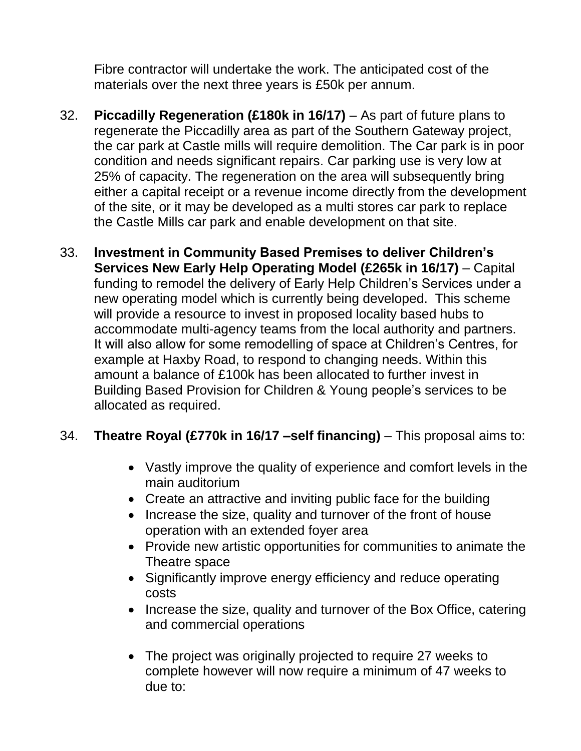Fibre contractor will undertake the work. The anticipated cost of the materials over the next three years is £50k per annum.

- 32. **Piccadilly Regeneration (£180k in 16/17)** As part of future plans to regenerate the Piccadilly area as part of the Southern Gateway project, the car park at Castle mills will require demolition. The Car park is in poor condition and needs significant repairs. Car parking use is very low at 25% of capacity. The regeneration on the area will subsequently bring either a capital receipt or a revenue income directly from the development of the site, or it may be developed as a multi stores car park to replace the Castle Mills car park and enable development on that site.
- 33. **Investment in Community Based Premises to deliver Children's Services New Early Help Operating Model (£265k in 16/17)** – Capital funding to remodel the delivery of Early Help Children's Services under a new operating model which is currently being developed. This scheme will provide a resource to invest in proposed locality based hubs to accommodate multi-agency teams from the local authority and partners. It will also allow for some remodelling of space at Children's Centres, for example at Haxby Road, to respond to changing needs. Within this amount a balance of £100k has been allocated to further invest in Building Based Provision for Children & Young people's services to be allocated as required.

## 34. **Theatre Royal (£770k in 16/17 –self financing)** – This proposal aims to:

- Vastly improve the quality of experience and comfort levels in the main auditorium
- Create an attractive and inviting public face for the building
- Increase the size, quality and turnover of the front of house operation with an extended foyer area
- Provide new artistic opportunities for communities to animate the Theatre space
- Significantly improve energy efficiency and reduce operating costs
- Increase the size, quality and turnover of the Box Office, catering and commercial operations
- The project was originally projected to require 27 weeks to complete however will now require a minimum of 47 weeks to due to: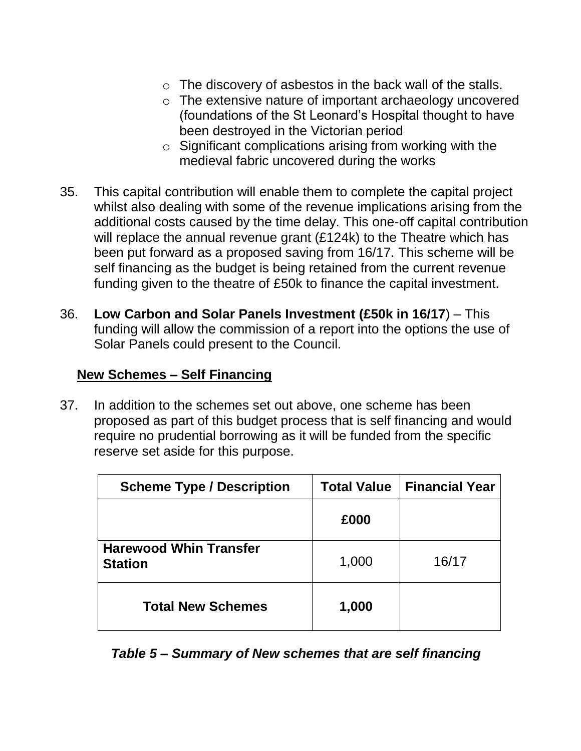- o The discovery of asbestos in the back wall of the stalls.
- o The extensive nature of important archaeology uncovered (foundations of the St Leonard's Hospital thought to have been destroyed in the Victorian period
- o Significant complications arising from working with the medieval fabric uncovered during the works
- 35. This capital contribution will enable them to complete the capital project whilst also dealing with some of the revenue implications arising from the additional costs caused by the time delay. This one-off capital contribution will replace the annual revenue grant (£124k) to the Theatre which has been put forward as a proposed saving from 16/17. This scheme will be self financing as the budget is being retained from the current revenue funding given to the theatre of £50k to finance the capital investment.
- 36. **Low Carbon and Solar Panels Investment (£50k in 16/17**) This funding will allow the commission of a report into the options the use of Solar Panels could present to the Council.

#### **New Schemes – Self Financing**

37. In addition to the schemes set out above, one scheme has been proposed as part of this budget process that is self financing and would require no prudential borrowing as it will be funded from the specific reserve set aside for this purpose.

| <b>Scheme Type / Description</b>                | <b>Total Value</b> | <b>Financial Year</b> |  |
|-------------------------------------------------|--------------------|-----------------------|--|
|                                                 | £000               |                       |  |
| <b>Harewood Whin Transfer</b><br><b>Station</b> | 1,000              | 16/17                 |  |
| <b>Total New Schemes</b>                        | 1,000              |                       |  |

*Table 5 – Summary of New schemes that are self financing*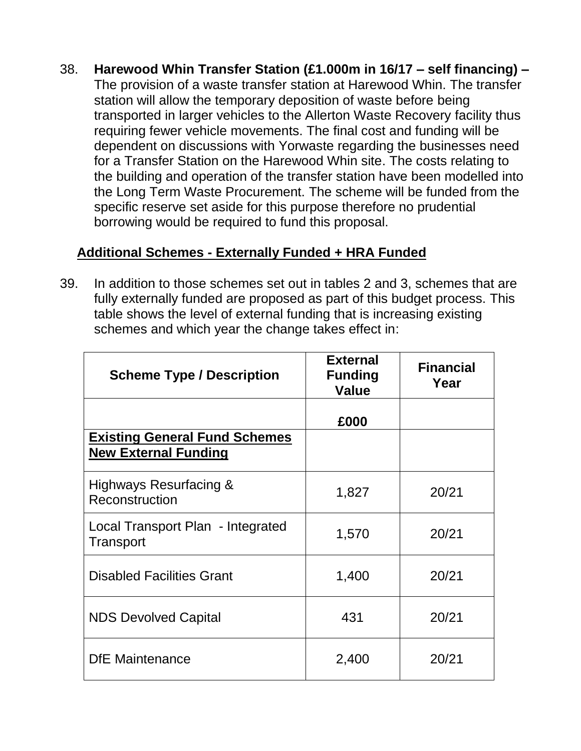38. **Harewood Whin Transfer Station (£1.000m in 16/17 – self financing) –** The provision of a waste transfer station at Harewood Whin. The transfer station will allow the temporary deposition of waste before being transported in larger vehicles to the Allerton Waste Recovery facility thus requiring fewer vehicle movements. The final cost and funding will be dependent on discussions with Yorwaste regarding the businesses need for a Transfer Station on the Harewood Whin site. The costs relating to the building and operation of the transfer station have been modelled into the Long Term Waste Procurement. The scheme will be funded from the specific reserve set aside for this purpose therefore no prudential borrowing would be required to fund this proposal.

## **Additional Schemes - Externally Funded + HRA Funded**

39. In addition to those schemes set out in tables 2 and 3, schemes that are fully externally funded are proposed as part of this budget process. This table shows the level of external funding that is increasing existing schemes and which year the change takes effect in:

| <b>Scheme Type / Description</b>                                    | <b>External</b><br><b>Funding</b><br><b>Value</b> | <b>Financial</b><br>Year |
|---------------------------------------------------------------------|---------------------------------------------------|--------------------------|
|                                                                     | £000                                              |                          |
| <b>Existing General Fund Schemes</b><br><b>New External Funding</b> |                                                   |                          |
| Highways Resurfacing &<br>Reconstruction                            | 1,827                                             | 20/21                    |
| Local Transport Plan - Integrated<br>Transport                      | 1,570                                             | 20/21                    |
| <b>Disabled Facilities Grant</b>                                    | 1,400                                             | 20/21                    |
| <b>NDS Devolved Capital</b>                                         | 431                                               | 20/21                    |
| <b>DfE</b> Maintenance                                              | 2,400                                             | 20/21                    |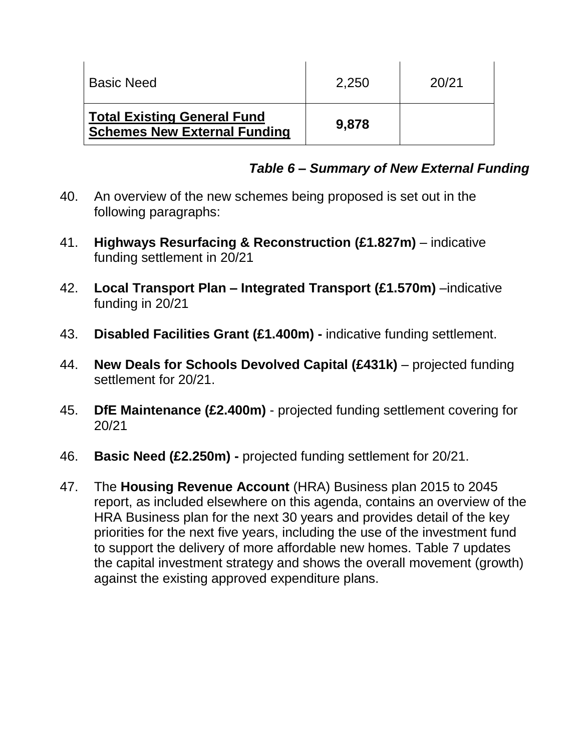| l Basic Need                                                              | 2.250 | 20/21 |
|---------------------------------------------------------------------------|-------|-------|
| <b>Total Existing General Fund</b><br><b>Schemes New External Funding</b> | 9,878 |       |

## *Table 6 – Summary of New External Funding*

- 40. An overview of the new schemes being proposed is set out in the following paragraphs:
- 41. **Highways Resurfacing & Reconstruction (£1.827m)** indicative funding settlement in 20/21
- 42. **Local Transport Plan – Integrated Transport (£1.570m)** –indicative funding in 20/21
- 43. **Disabled Facilities Grant (£1.400m) -** indicative funding settlement.
- 44. **New Deals for Schools Devolved Capital (£431k)** projected funding settlement for 20/21.
- 45. **DfE Maintenance (£2.400m)** projected funding settlement covering for 20/21
- 46. **Basic Need (£2.250m) -** projected funding settlement for 20/21.
- 47. The **Housing Revenue Account** (HRA) Business plan 2015 to 2045 report, as included elsewhere on this agenda, contains an overview of the HRA Business plan for the next 30 years and provides detail of the key priorities for the next five years, including the use of the investment fund to support the delivery of more affordable new homes. Table 7 updates the capital investment strategy and shows the overall movement (growth) against the existing approved expenditure plans.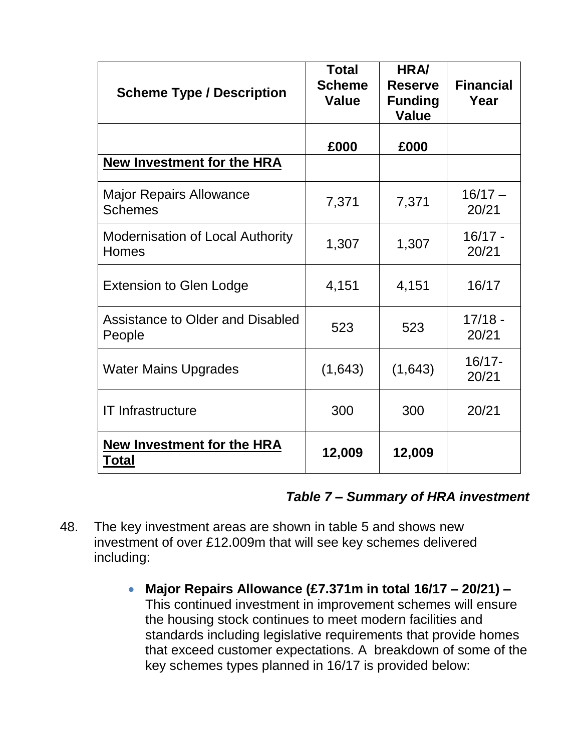| <b>Scheme Type / Description</b>                 | <b>Total</b><br><b>Scheme</b><br><b>Value</b> | <b>HRA/</b><br><b>Reserve</b><br><b>Funding</b><br><b>Value</b> | <b>Financial</b><br>Year |
|--------------------------------------------------|-----------------------------------------------|-----------------------------------------------------------------|--------------------------|
|                                                  | £000                                          | £000                                                            |                          |
| <b>New Investment for the HRA</b>                |                                               |                                                                 |                          |
| <b>Major Repairs Allowance</b><br><b>Schemes</b> | 7,371                                         | 7,371                                                           | $16/17 -$<br>20/21       |
| <b>Modernisation of Local Authority</b><br>Homes | 1,307                                         | 1,307                                                           | $16/17 -$<br>20/21       |
| <b>Extension to Glen Lodge</b>                   | 4,151                                         | 4,151                                                           | 16/17                    |
| Assistance to Older and Disabled<br>People       | 523                                           | 523                                                             | $17/18 -$<br>20/21       |
| <b>Water Mains Upgrades</b>                      | (1,643)                                       | (1,643)                                                         | $16/17 -$<br>20/21       |
| <b>IT Infrastructure</b>                         | 300                                           | 300                                                             | 20/21                    |
| <b>New Investment for the HRA</b><br>Total       | 12,009                                        | 12,009                                                          |                          |

#### *Table 7 – Summary of HRA investment*

- 48. The key investment areas are shown in table 5 and shows new investment of over £12.009m that will see key schemes delivered including:
	- **Major Repairs Allowance (£7.371m in total 16/17 – 20/21) –** This continued investment in improvement schemes will ensure the housing stock continues to meet modern facilities and standards including legislative requirements that provide homes that exceed customer expectations. A breakdown of some of the key schemes types planned in 16/17 is provided below: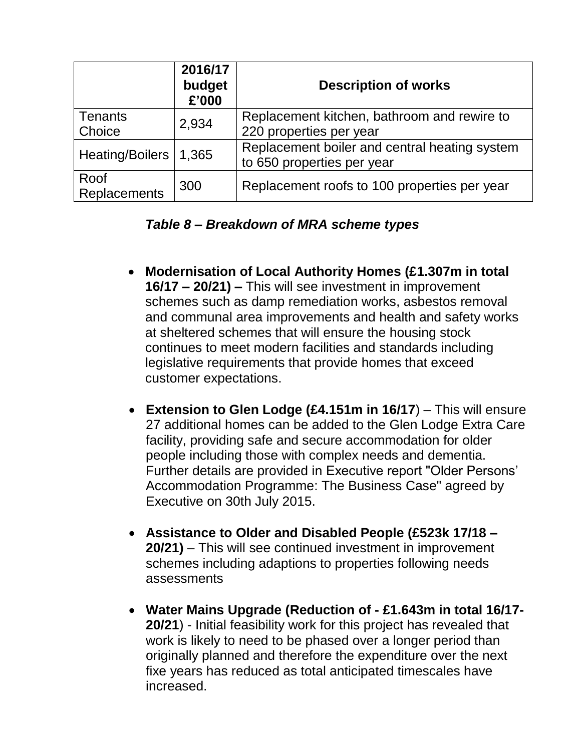|                             | 2016/17<br>budget<br>£'000 | <b>Description of works</b>                                                 |
|-----------------------------|----------------------------|-----------------------------------------------------------------------------|
| <b>Tenants</b><br>Choice    | 2,934                      | Replacement kitchen, bathroom and rewire to<br>220 properties per year      |
| Heating/Boilers   1,365     |                            | Replacement boiler and central heating system<br>to 650 properties per year |
| Roof<br><b>Replacements</b> | 300                        | Replacement roofs to 100 properties per year                                |

### *Table 8 – Breakdown of MRA scheme types*

- **Modernisation of Local Authority Homes (£1.307m in total 16/17 – 20/21) –** This will see investment in improvement schemes such as damp remediation works, asbestos removal and communal area improvements and health and safety works at sheltered schemes that will ensure the housing stock continues to meet modern facilities and standards including legislative requirements that provide homes that exceed customer expectations.
- **Extension to Glen Lodge (£4.151m in 16/17**) This will ensure 27 additional homes can be added to the Glen Lodge Extra Care facility, providing safe and secure accommodation for older people including those with complex needs and dementia. Further details are provided in Executive report "Older Persons' Accommodation Programme: The Business Case" agreed by Executive on 30th July 2015.
- **Assistance to Older and Disabled People (£523k 17/18 – 20/21)** – This will see continued investment in improvement schemes including adaptions to properties following needs assessments
- **Water Mains Upgrade (Reduction of - £1.643m in total 16/17- 20/21**) - Initial feasibility work for this project has revealed that work is likely to need to be phased over a longer period than originally planned and therefore the expenditure over the next fixe years has reduced as total anticipated timescales have increased.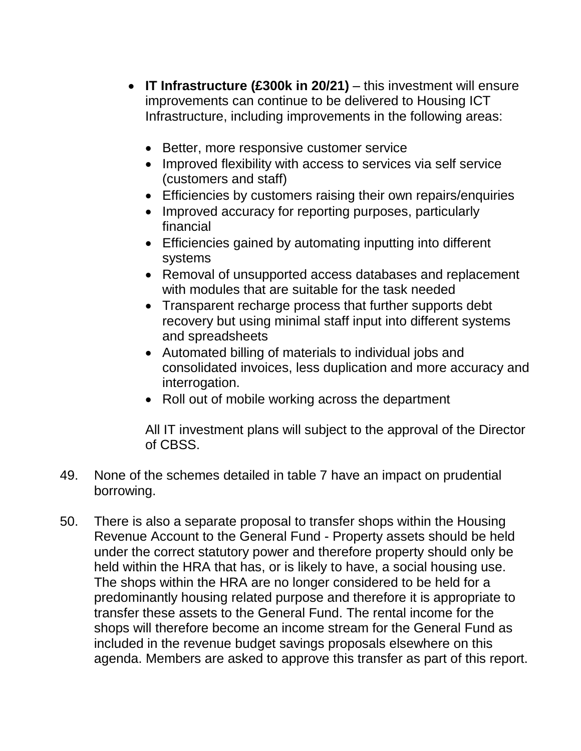- **IT Infrastructure (£300k in 20/21)**  this investment will ensure improvements can continue to be delivered to Housing ICT Infrastructure, including improvements in the following areas:
	- Better, more responsive customer service
	- Improved flexibility with access to services via self service (customers and staff)
	- Efficiencies by customers raising their own repairs/enquiries
	- Improved accuracy for reporting purposes, particularly financial
	- Efficiencies gained by automating inputting into different systems
	- Removal of unsupported access databases and replacement with modules that are suitable for the task needed
	- Transparent recharge process that further supports debt recovery but using minimal staff input into different systems and spreadsheets
	- Automated billing of materials to individual jobs and consolidated invoices, less duplication and more accuracy and interrogation.
	- Roll out of mobile working across the department

All IT investment plans will subject to the approval of the Director of CBSS.

- 49. None of the schemes detailed in table 7 have an impact on prudential borrowing.
- 50. There is also a separate proposal to transfer shops within the Housing Revenue Account to the General Fund - Property assets should be held under the correct statutory power and therefore property should only be held within the HRA that has, or is likely to have, a social housing use. The shops within the HRA are no longer considered to be held for a predominantly housing related purpose and therefore it is appropriate to transfer these assets to the General Fund. The rental income for the shops will therefore become an income stream for the General Fund as included in the revenue budget savings proposals elsewhere on this agenda. Members are asked to approve this transfer as part of this report.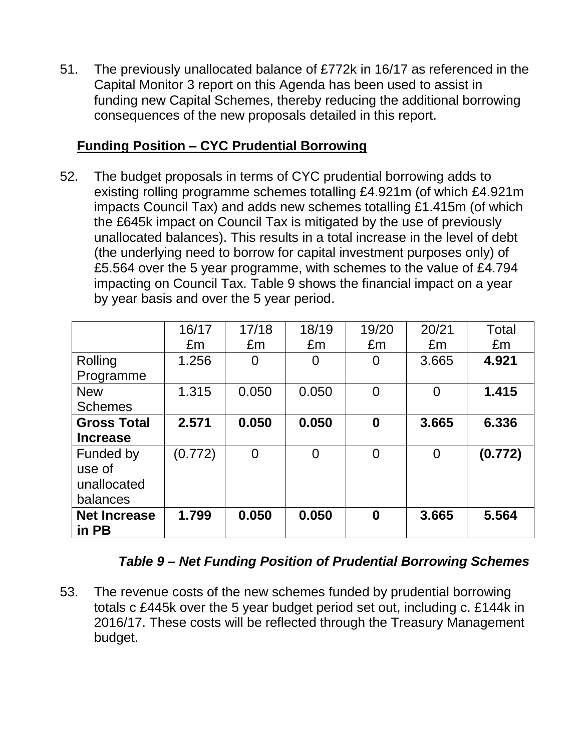51. The previously unallocated balance of £772k in 16/17 as referenced in the Capital Monitor 3 report on this Agenda has been used to assist in funding new Capital Schemes, thereby reducing the additional borrowing consequences of the new proposals detailed in this report.

## **Funding Position – CYC Prudential Borrowing**

52. The budget proposals in terms of CYC prudential borrowing adds to existing rolling programme schemes totalling £4.921m (of which £4.921m impacts Council Tax) and adds new schemes totalling £1.415m (of which the £645k impact on Council Tax is mitigated by the use of previously unallocated balances). This results in a total increase in the level of debt (the underlying need to borrow for capital investment purposes only) of £5.564 over the 5 year programme, with schemes to the value of £4.794 impacting on Council Tax. Table 9 shows the financial impact on a year by year basis and over the 5 year period.

|                     | 16/17   | 17/18    | 18/19    | 19/20    | 20/21    | Total   |
|---------------------|---------|----------|----------|----------|----------|---------|
|                     | £m      | £m       | £m       | £m       | £m       | £m      |
| Rolling             | 1.256   | 0        | 0        | 0        | 3.665    | 4.921   |
| Programme           |         |          |          |          |          |         |
| <b>New</b>          | 1.315   | 0.050    | 0.050    | $\Omega$ | $\Omega$ | 1.415   |
| <b>Schemes</b>      |         |          |          |          |          |         |
| <b>Gross Total</b>  | 2.571   | 0.050    | 0.050    | $\bf{0}$ | 3.665    | 6.336   |
| <b>Increase</b>     |         |          |          |          |          |         |
| Funded by           | (0.772) | $\Omega$ | $\Omega$ | 0        | $\Omega$ | (0.772) |
| use of              |         |          |          |          |          |         |
| unallocated         |         |          |          |          |          |         |
| balances            |         |          |          |          |          |         |
| <b>Net Increase</b> | 1.799   | 0.050    | 0.050    | 0        | 3.665    | 5.564   |
| in PB               |         |          |          |          |          |         |

## *Table 9 – Net Funding Position of Prudential Borrowing Schemes*

53. The revenue costs of the new schemes funded by prudential borrowing totals c £445k over the 5 year budget period set out, including c. £144k in 2016/17. These costs will be reflected through the Treasury Management budget.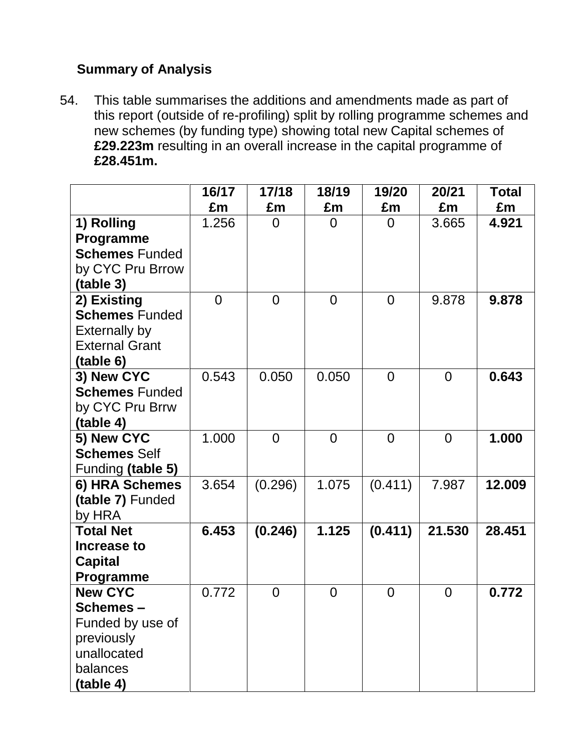## **Summary of Analysis**

54. This table summarises the additions and amendments made as part of this report (outside of re-profiling) split by rolling programme schemes and new schemes (by funding type) showing total new Capital schemes of **£29.223m** resulting in an overall increase in the capital programme of **£28.451m.**

|                       | 16/17          | 17/18          | 18/19          | 19/20          | 20/21          | <b>Total</b> |
|-----------------------|----------------|----------------|----------------|----------------|----------------|--------------|
|                       | £m             | £m             | £m             | £m             | £m             | £m           |
| 1) Rolling            | 1.256          | $\Omega$       | $\overline{0}$ | $\Omega$       | 3.665          | 4.921        |
| Programme             |                |                |                |                |                |              |
| <b>Schemes Funded</b> |                |                |                |                |                |              |
| by CYC Pru Brrow      |                |                |                |                |                |              |
| (table 3)             |                |                |                |                |                |              |
| 2) Existing           | $\overline{0}$ | $\overline{0}$ | $\overline{0}$ | $\overline{0}$ | 9.878          | 9.878        |
| <b>Schemes Funded</b> |                |                |                |                |                |              |
| <b>Externally by</b>  |                |                |                |                |                |              |
| <b>External Grant</b> |                |                |                |                |                |              |
| (table 6)             |                |                |                |                |                |              |
| 3) New CYC            | 0.543          | 0.050          | 0.050          | $\overline{0}$ | $\overline{0}$ | 0.643        |
| <b>Schemes Funded</b> |                |                |                |                |                |              |
| by CYC Pru Brrw       |                |                |                |                |                |              |
| (table 4)             |                |                |                |                |                |              |
| 5) New CYC            | 1.000          | $\overline{0}$ | $\overline{0}$ | $\Omega$       | $\overline{0}$ | 1.000        |
| <b>Schemes Self</b>   |                |                |                |                |                |              |
| Funding (table 5)     |                |                |                |                |                |              |
| 6) HRA Schemes        | 3.654          | (0.296)        | 1.075          | (0.411)        | 7.987          | 12.009       |
| (table 7) Funded      |                |                |                |                |                |              |
| by HRA                |                |                |                |                |                |              |
| <b>Total Net</b>      | 6.453          | (0.246)        | 1.125          | (0.411)        | 21.530         | 28.451       |
| Increase to           |                |                |                |                |                |              |
| <b>Capital</b>        |                |                |                |                |                |              |
| Programme             |                |                |                |                |                |              |
| <b>New CYC</b>        | 0.772          | $\overline{0}$ | $\overline{0}$ | $\overline{0}$ | $\overline{0}$ | 0.772        |
| Schemes –             |                |                |                |                |                |              |
| Funded by use of      |                |                |                |                |                |              |
| previously            |                |                |                |                |                |              |
| unallocated           |                |                |                |                |                |              |
| balances              |                |                |                |                |                |              |
| (table 4)             |                |                |                |                |                |              |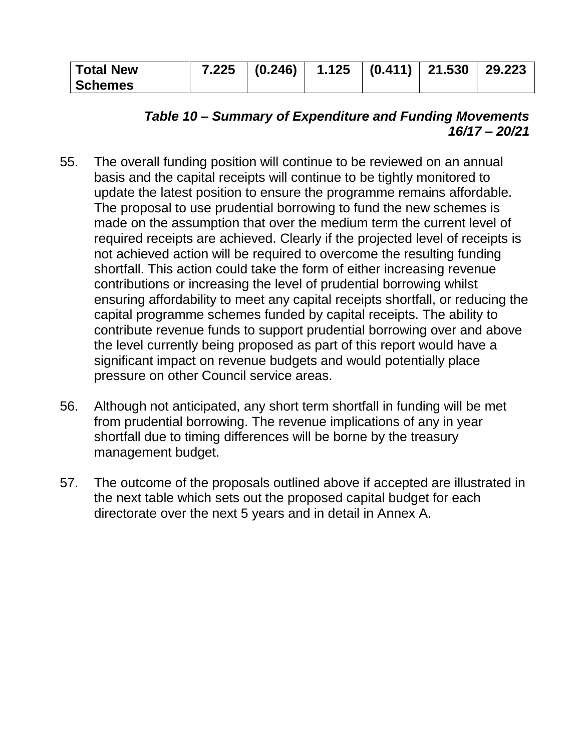| <b>Total New</b> | $7.225$ $(0.246)$ $1.125$ $(0.411)$ $21.530$ $29.223$ |  |  |
|------------------|-------------------------------------------------------|--|--|
| <b>Schemes</b>   |                                                       |  |  |

## *Table 10 – Summary of Expenditure and Funding Movements 16/17 – 20/21*

- 55. The overall funding position will continue to be reviewed on an annual basis and the capital receipts will continue to be tightly monitored to update the latest position to ensure the programme remains affordable. The proposal to use prudential borrowing to fund the new schemes is made on the assumption that over the medium term the current level of required receipts are achieved. Clearly if the projected level of receipts is not achieved action will be required to overcome the resulting funding shortfall. This action could take the form of either increasing revenue contributions or increasing the level of prudential borrowing whilst ensuring affordability to meet any capital receipts shortfall, or reducing the capital programme schemes funded by capital receipts. The ability to contribute revenue funds to support prudential borrowing over and above the level currently being proposed as part of this report would have a significant impact on revenue budgets and would potentially place pressure on other Council service areas.
- 56. Although not anticipated, any short term shortfall in funding will be met from prudential borrowing. The revenue implications of any in year shortfall due to timing differences will be borne by the treasury management budget.
- 57. The outcome of the proposals outlined above if accepted are illustrated in the next table which sets out the proposed capital budget for each directorate over the next 5 years and in detail in Annex A.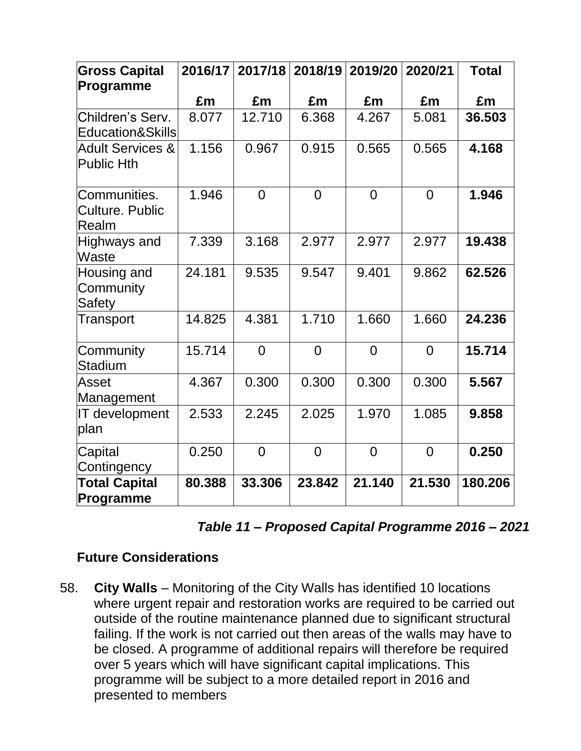| <b>Gross Capital</b><br>Programme                | 2016/17 | 2017/18        | 2018/19        | 2019/20        | 2020/21        | <b>Total</b> |
|--------------------------------------------------|---------|----------------|----------------|----------------|----------------|--------------|
|                                                  | £m      | £m             | £m             | £m             | £m             | £m           |
| Children's Serv.<br>Education&Skills             | 8.077   | 12.710         | 6.368          | 4.267          | 5.081          | 36.503       |
| <b>Adult Services &amp;</b><br><b>Public Hth</b> | 1.156   | 0.967          | 0.915          | 0.565          | 0.565          | 4.168        |
| Communities.<br><b>Culture, Public</b><br>Realm  | 1.946   | $\overline{0}$ | $\overline{0}$ | $\overline{0}$ | $\overline{0}$ | 1.946        |
| Highways and<br>Waste                            | 7.339   | 3.168          | 2.977          | 2.977          | 2.977          | 19.438       |
| Housing and<br>Community<br><b>Safety</b>        | 24.181  | 9.535          | 9.547          | 9.401          | 9.862          | 62.526       |
| Transport                                        | 14.825  | 4.381          | 1.710          | 1.660          | 1.660          | 24.236       |
| Community<br>Stadium                             | 15.714  | $\overline{0}$ | $\overline{0}$ | $\Omega$       | $\Omega$       | 15.714       |
| Asset<br>Management                              | 4.367   | 0.300          | 0.300          | 0.300          | 0.300          | 5.567        |
| IT development<br>plan                           | 2.533   | 2.245          | 2.025          | 1.970          | 1.085          | 9.858        |
| Capital<br>Contingency                           | 0.250   | $\overline{0}$ | $\overline{0}$ | $\overline{0}$ | $\overline{0}$ | 0.250        |
| <b>Total Capital</b><br>Programme                | 80.388  | 33.306         | 23.842         | 21.140         | 21.530         | 180.206      |

## **Future Considerations**

58. **City Walls** – Monitoring of the City Walls has identified 10 locations where urgent repair and restoration works are required to be carried out outside of the routine maintenance planned due to significant structural failing. If the work is not carried out then areas of the walls may have to be closed. A programme of additional repairs will therefore be required over 5 years which will have significant capital implications. This programme will be subject to a more detailed report in 2016 and presented to members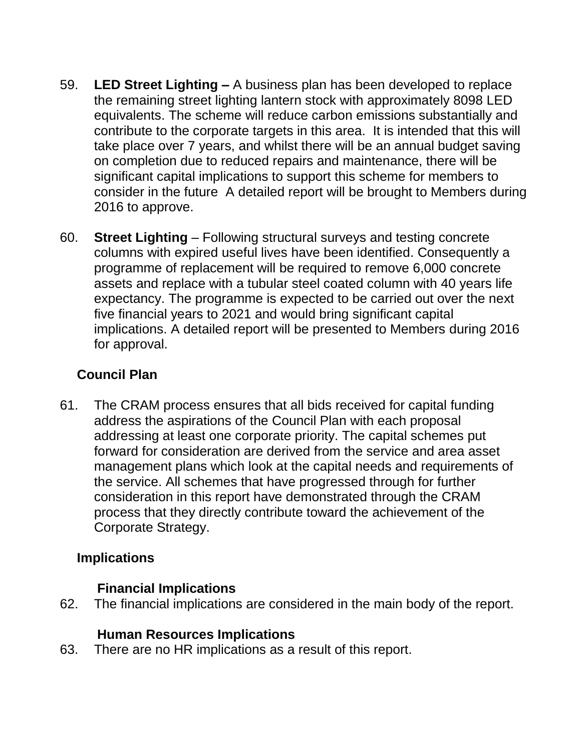- 59. **LED Street Lighting –** A business plan has been developed to replace the remaining street lighting lantern stock with approximately 8098 LED equivalents. The scheme will reduce carbon emissions substantially and contribute to the corporate targets in this area. It is intended that this will take place over 7 years, and whilst there will be an annual budget saving on completion due to reduced repairs and maintenance, there will be significant capital implications to support this scheme for members to consider in the future A detailed report will be brought to Members during 2016 to approve.
- 60. **Street Lighting** Following structural surveys and testing concrete columns with expired useful lives have been identified. Consequently a programme of replacement will be required to remove 6,000 concrete assets and replace with a tubular steel coated column with 40 years life expectancy. The programme is expected to be carried out over the next five financial years to 2021 and would bring significant capital implications. A detailed report will be presented to Members during 2016 for approval.

# **Council Plan**

61. The CRAM process ensures that all bids received for capital funding address the aspirations of the Council Plan with each proposal addressing at least one corporate priority. The capital schemes put forward for consideration are derived from the service and area asset management plans which look at the capital needs and requirements of the service. All schemes that have progressed through for further consideration in this report have demonstrated through the CRAM process that they directly contribute toward the achievement of the Corporate Strategy.

## **Implications**

## **Financial Implications**

62. The financial implications are considered in the main body of the report.

## **Human Resources Implications**

63. There are no HR implications as a result of this report.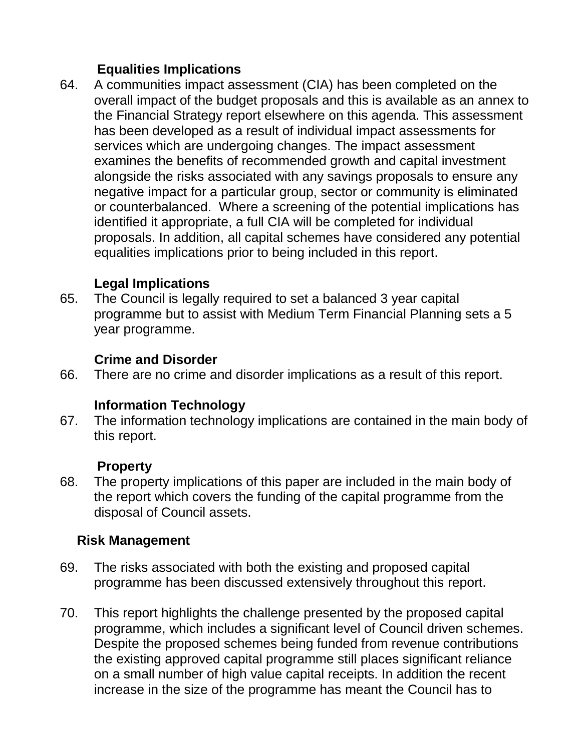# **Equalities Implications**

64. A communities impact assessment (CIA) has been completed on the overall impact of the budget proposals and this is available as an annex to the Financial Strategy report elsewhere on this agenda. This assessment has been developed as a result of individual impact assessments for services which are undergoing changes. The impact assessment examines the benefits of recommended growth and capital investment alongside the risks associated with any savings proposals to ensure any negative impact for a particular group, sector or community is eliminated or counterbalanced. Where a screening of the potential implications has identified it appropriate, a full CIA will be completed for individual proposals. In addition, all capital schemes have considered any potential equalities implications prior to being included in this report.

### **Legal Implications**

65. The Council is legally required to set a balanced 3 year capital programme but to assist with Medium Term Financial Planning sets a 5 year programme.

### **Crime and Disorder**

66. There are no crime and disorder implications as a result of this report.

#### **Information Technology**

67. The information technology implications are contained in the main body of this report.

#### **Property**

68. The property implications of this paper are included in the main body of the report which covers the funding of the capital programme from the disposal of Council assets.

#### **Risk Management**

- 69. The risks associated with both the existing and proposed capital programme has been discussed extensively throughout this report.
- 70. This report highlights the challenge presented by the proposed capital programme, which includes a significant level of Council driven schemes. Despite the proposed schemes being funded from revenue contributions the existing approved capital programme still places significant reliance on a small number of high value capital receipts. In addition the recent increase in the size of the programme has meant the Council has to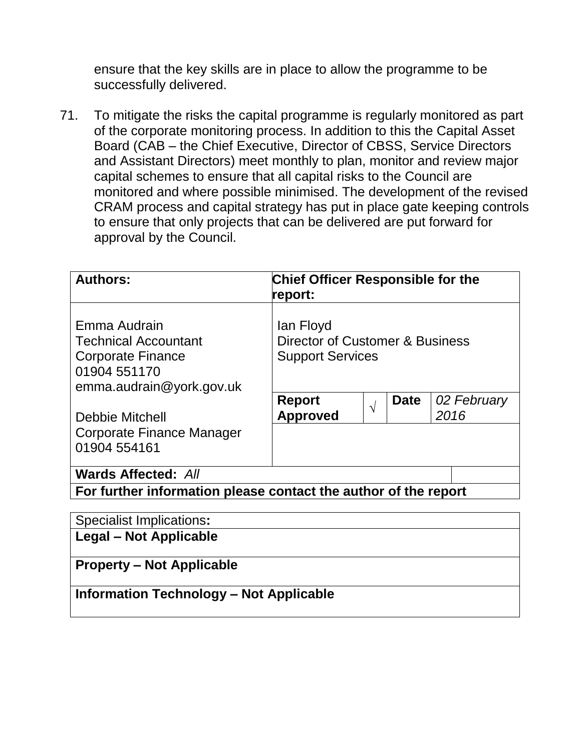ensure that the key skills are in place to allow the programme to be successfully delivered.

71. To mitigate the risks the capital programme is regularly monitored as part of the corporate monitoring process. In addition to this the Capital Asset Board (CAB – the Chief Executive, Director of CBSS, Service Directors and Assistant Directors) meet monthly to plan, monitor and review major capital schemes to ensure that all capital risks to the Council are monitored and where possible minimised. The development of the revised CRAM process and capital strategy has put in place gate keeping controls to ensure that only projects that can be delivered are put forward for approval by the Council.

| <b>Authors:</b>                                                                                                     | <b>Chief Officer Responsible for the</b><br>report:                     |            |             |                     |  |  |
|---------------------------------------------------------------------------------------------------------------------|-------------------------------------------------------------------------|------------|-------------|---------------------|--|--|
| Emma Audrain<br><b>Technical Accountant</b><br><b>Corporate Finance</b><br>01904 551170<br>emma.audrain@york.gov.uk | lan Floyd<br>Director of Customer & Business<br><b>Support Services</b> |            |             |                     |  |  |
| Debbie Mitchell                                                                                                     | <b>Report</b><br><b>Approved</b>                                        | $\sqrt{ }$ | <b>Date</b> | 02 February<br>2016 |  |  |
| <b>Corporate Finance Manager</b><br>01904 554161                                                                    |                                                                         |            |             |                     |  |  |
| <b>Wards Affected: All</b>                                                                                          |                                                                         |            |             |                     |  |  |
| For further information please contact the author of the report                                                     |                                                                         |            |             |                     |  |  |

| <b>Specialist Implications:</b>                |
|------------------------------------------------|
| Legal – Not Applicable                         |
|                                                |
| <b>Property – Not Applicable</b>               |
| <b>Information Technology - Not Applicable</b> |